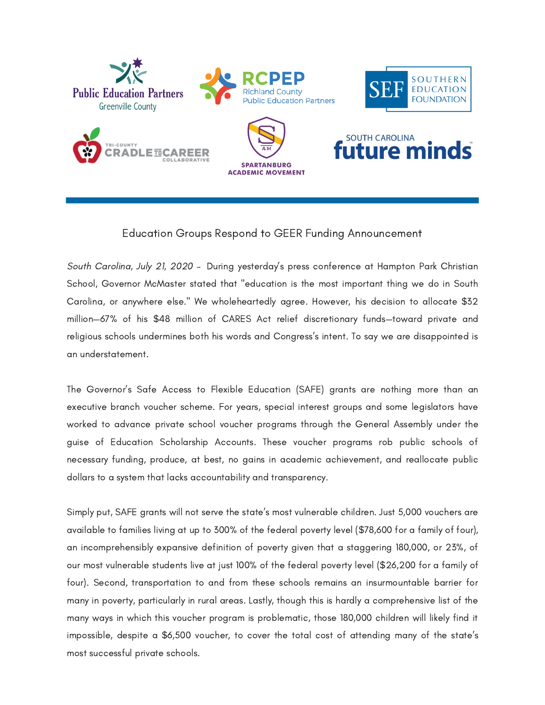

## Education Groups Respond to GEER Funding Announcement

South Carolina, July 21, 2020 – During yesterday's press conference at Hampton Park Christian School, Governor McMaster stated that "education is the most important thing we do in South Carolina, or anywhere else." We wholeheartedly agree. However, his decision to allocate \$32 million—67% of his \$48 million of CARES Act relief discretionary funds—toward private and religious schools undermines both his words and Congress's intent. To say we are disappointed is an understatement.

The Governor's Safe Access to Flexible Education (SAFE) grants are nothing more than an executive branch voucher scheme. For years, special interest groups and some legislators have worked to advance private school voucher programs through the General Assembly under the guise of Education Scholarship Accounts. These voucher programs rob public schools of necessary funding, produce, at best, no gains in academic achievement, and reallocate public dollars to a system that lacks accountability and transparency.

Simply put, SAFE grants will not serve the state's most vulnerable children. Just 5,000 vouchers are available to families living at up to 300% of the federal poverty level (\$78,600 for a family of four), an incomprehensibly expansive definition of poverty given that a staggering 180,000, or 23%, of our most vulnerable students live at just 100% of the federal poverty level (\$26,200 for a family of four). Second, transportation to and from these schools remains an insurmountable barrier for many in poverty, particularly in rural areas. Lastly, though this is hardly a comprehensive list of the many ways in which this voucher program is problematic, those 180,000 children will likely find it impossible, despite a \$6,500 voucher, to cover the total cost of attending many of the state's most successful private schools.